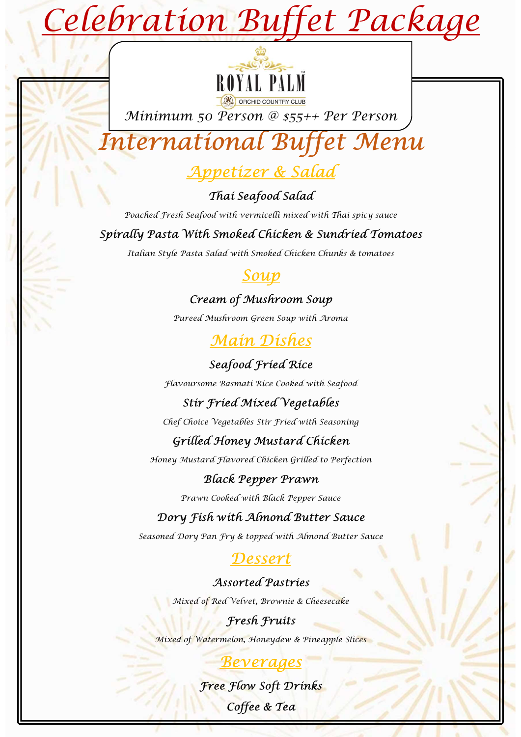# Celebration Buffet Package



Minimum 50 Person @ \$55++ Per Person

# International Buffet Menu



# Thai Seafood Salad

Poached Fresh Seafood with vermicelli mixed with Thai spicy sauce

# Spirally Pasta With Smoked Chicken & Sundried Tomatoes

Italian Style Pasta Salad with Smoked Chicken Chunks & tomatoes

# Soup

# Cream of Mushroom Soup

Pureed Mushroom Green Soup with Aroma

# Main Dishes

# Seafood Fried Rice

Flavoursome Basmati Rice Cooked with Seafood

# Stir Fried Mixed Vegetables

Chef Choice Vegetables Stir Fried with Seasoning

# Grilled Honey Mustard Chicken

Honey Mustard Flavored Chicken Grilled to Perfection

# Black Pepper Prawn

Prawn Cooked with Black Pepper Sauce

# Dory Fish with Almond Butter Sauce

Seasoned Dory Pan Fry & topped with Almond Butter Sauce

# Dessert

# Assorted Pastries

Mixed of Red Velvet, Brownie & Cheesecake

# Fresh Fruits

Mixed of Watermelon, Honeydew & Pineapple Slices

# Beverages

Free Flow Soft Drinks Coffee & Tea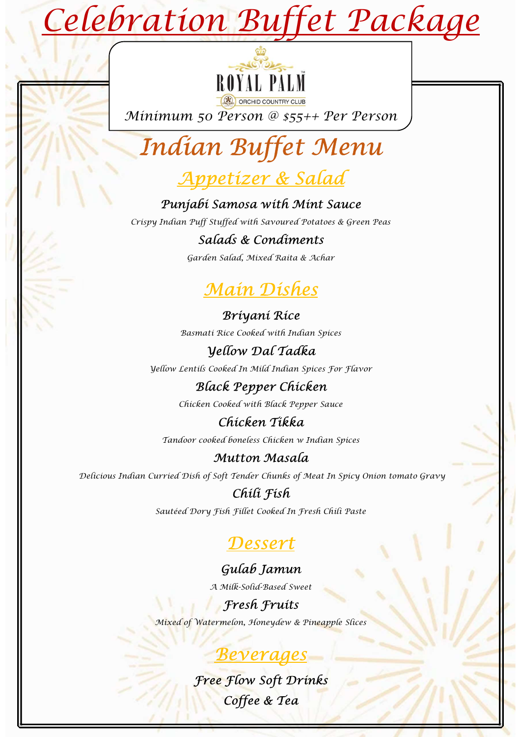# Celebration Buffet Package



Minimum 50 Person @ \$55++ Per Person

# Indian Buffet Menu Person @ \$55++ Per Person<br> **Buffet Menu**<br> **Buffet Menu**<br> **etizer & Salad**<br> **amosa with Mint Sauce**<br>
fied with savoured Potatoes & Green Peas<br> **lds & Condiments**<br> **lain Dishes<br>
Briyani Rice<br>
Briyani Rice<br>
Rice Cooked with I**

# Appetizer & Salad

# Punjabi Samosa with Mint Sauce

Crispy Indian Puff Stuffed with Savoured Potatoes & Green Peas

# Salads & Condiments

Garden Salad, Mixed Raita & Achar

# Main Dishes

Basmati Rice Cooked with Indian Spices

# Yellow Dal Tadka

Yellow Lentils Cooked In Mild Indian Spices For Flavor

# Black Pepper Chicken

Chicken Cooked with Black Pepper Sauce

# Chicken Tikka

Tandoor cooked boneless Chicken w Indian Spices

# Mutton Masala

Delicious Indian Curried Dish of Soft Tender Chunks of Meat In Spicy Onion tomato Gravy

# Chili Fish

Sautéed Dory Fish Fillet Cooked In Fresh Chili Paste

# Dessert

# Gulab Jamun

A Milk-Solid-Based Sweet

# Fresh Fruits

Mixed of Watermelon, Honeydew & Pineapple Slices

# Beverages

Free Flow Soft Drinks Coffee & Tea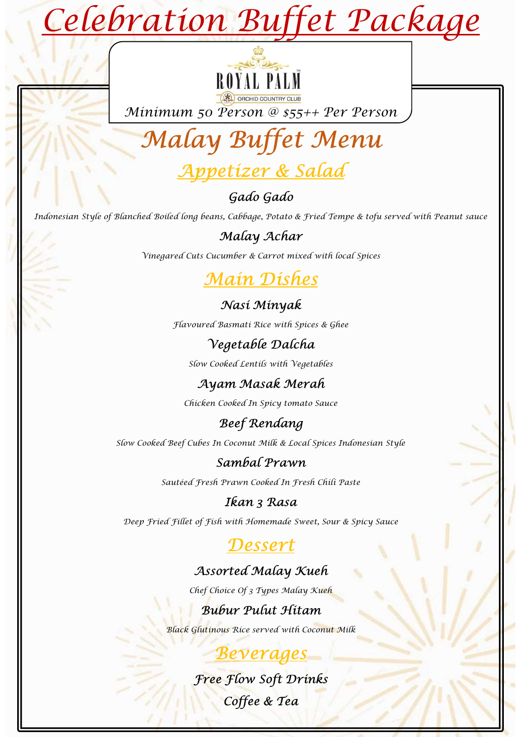# **Buffet Package**<br>
WILL PILI<br> **CONSCRIPTION**<br> **Buffet Menu**<br> **Gado Gado**<br> **Gado Gado**<br> **Gado Gado**<br> **Gado Gado**<br> **Cabbage, Potato & Fried Tempe & tofu served with Peanut sauce**<br> **Alalay Achar**<br> **Alalay Achar**<br> **Alalay Achar** Celebration Buffet Package



Minimum 50 Person @ \$55++ Per Person



# Appetizer & Salad

Indonesian Style of Blanched Boiled long beans, Cabbage, Potato & Fried Tempe & tofu served with Peanut sauce Gado Gado<br>
Frans, Cabbage, Potato & Fried Tempe & tofu served with Peanut sauce<br>
Malay Achar<br>
Malay Achar<br>
Malay Merah With local Spices<br>
Mast Minyak<br>
Wegetable Dalcha<br>
Negetable Dalcha<br>
Negetable Dalcha<br>
Ayam Masak Merah<br>

# Malay Achar

Vinegared Cuts Cucumber & Carrot mixed with local Spices

# Main Dishes

Nasi Minyak Flavoured Basmati Rice with Spices & Ghee

# Vegetable Dalcha

Slow Cooked Lentils with Vegetables

Chicken Cooked In Spicy tomato Sauce

# Beef Rendang

Slow Cooked Beef Cubes In Coconut Milk & Local Spices Indonesian Style Ren Cooked in Spicy tomato sauce<br>
Beef Rendang<br>
Ses In Cocomut Milk & Local Spices Indonesian Style<br>
Sambal Prawn<br>
Tesh Trawn Cooked In Tresh Chili Paste<br> **Ikan 3 Rasa**<br>
Ikan 3 Rasa<br>
Tesh with 36 memade Sweet, Sour & Spicy

# Sambal Prawn

Sautéed Fresh Prawn Cooked In Fresh Chili Paste

# Ikan 3 Rasa

Deep Fried Fillet of Fish with Homemade Sweet, Sour & Spicy Sauce

# Dessert

# Assorted Malay Kueh

Chef Choice Of 3 Types Malay Kueh

Black Glutinous Rice served with Coconut Milk

# Beverages

# Free Flow Soft Drinks Coffee & Tea